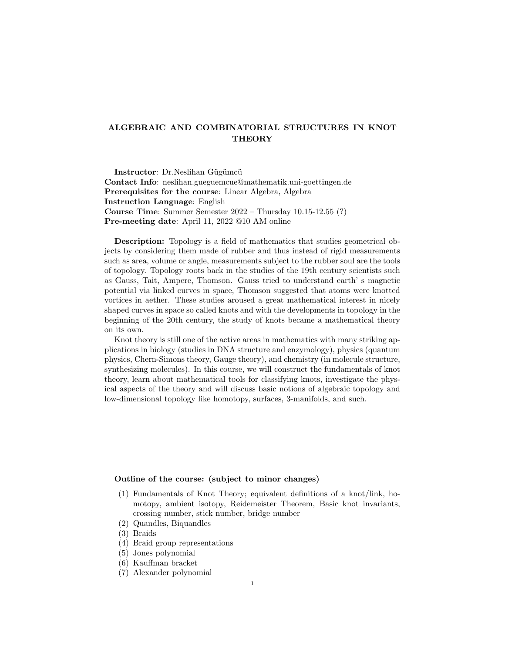## ALGEBRAIC AND COMBINATORIAL STRUCTURES IN KNOT THEORY

Instructor: Dr.Neslihan Gügümcü Contact Info: neslihan.gueguemcue@mathematik.uni-goettingen.de Prerequisites for the course: Linear Algebra, Algebra Instruction Language: English Course Time: Summer Semester 2022 – Thursday 10.15-12.55 (?) Pre-meeting date: April 11, 2022 @10 AM online

Description: Topology is a field of mathematics that studies geometrical objects by considering them made of rubber and thus instead of rigid measurements such as area, volume or angle, measurements subject to the rubber soul are the tools of topology. Topology roots back in the studies of the 19th century scientists such as Gauss, Tait, Ampere, Thomson. Gauss tried to understand earth' s magnetic potential via linked curves in space, Thomson suggested that atoms were knotted vortices in aether. These studies aroused a great mathematical interest in nicely shaped curves in space so called knots and with the developments in topology in the beginning of the 20th century, the study of knots became a mathematical theory on its own.

Knot theory is still one of the active areas in mathematics with many striking applications in biology (studies in DNA structure and enzymology), physics (quantum physics, Chern-Simons theory, Gauge theory), and chemistry (in molecule structure, synthesizing molecules). In this course, we will construct the fundamentals of knot theory, learn about mathematical tools for classifying knots, investigate the physical aspects of the theory and will discuss basic notions of algebraic topology and low-dimensional topology like homotopy, surfaces, 3-manifolds, and such.

## Outline of the course: (subject to minor changes)

- (1) Fundamentals of Knot Theory; equivalent definitions of a knot/link, homotopy, ambient isotopy, Reidemeister Theorem, Basic knot invariants, crossing number, stick number, bridge number
- (2) Quandles, Biquandles
- (3) Braids
- (4) Braid group representations
- (5) Jones polynomial
- (6) Kauffman bracket
- (7) Alexander polynomial